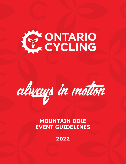# KY ONTARIO



# **MOUNTAIN BIKE EVENT GUIDELINES**

**2022**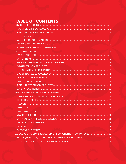# TABLE OF CONTENTS

| CATEGORY STRUCTURE & LICENSING REQUIREMENTS *NEW FOR 2022*  26 |  |
|----------------------------------------------------------------|--|
|                                                                |  |
|                                                                |  |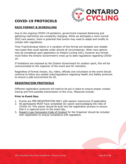

# <span id="page-2-0"></span>**COVID-19 PROTOCOLS**

#### <span id="page-2-1"></span>**RACE FORMAT & SCHEDULING**

Due to the ongoing COVID-19 pandemic, government-imposed distancing and gathering restrictions are constantly changing. While we anticipate a more normal 2022 race season, there is potential that events may need to adapt and modify to comply with regulations.

Time Trial/Individual Starts or a variation of this format are fantastic and reliable race types that could operate under almost all circumstances. Other race options may be considered upon application to Ontario Cycling (OC); however any format must follow the Ontario Government's most up-to-date regulations regarding COVID-19.

If limitations are imposed by the Ontario Government for outdoor sport, this will be communicated to the organizer of the event and OC members.

Regardless of format chosen, ALL riders, officials and volunteers at the event should continue to follow any posted rules/regulations regarding Health and Safety protocols to ensure a safe environment for all.

#### **REGISTRATION PROTOCOLS**

Different registration protocols will need to be put in place to ensure proper contact tracing and limit possible transmission of the virus. Measures include:

#### **Prior to Event Day:**

- 1. Events are PRE-REGISTRATION ONLY with session maximums (if applicable)
- 2. All participants MUST have completed OC waiver acknowledging the risks of COVID-19. This waiver should be built into the registration process to ensure that it is captured prior to the event day.
- 3. [Rowan's Law Concussion Code of Conduct](https://www.ontario.ca/page/rowans-law-concussion-safety#:~:text=Rowan) for the Organizer should be included with registration to ensure compliance with legislation.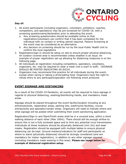

#### **Day of:**

- 1. All event participants (including organizers, volunteers, exhibitors, coaches, competitors, and spectators) may be pre-screened for COVID-19, with a screening questionnaire/declaration prior to attending the event.
	- a. Any screening questionnaire should be available online so that registration/volunteers can confirm that it has been completed for the individual with no contact or writing utensil required. Passive Screening at the event may be considered as an alternative.
	- b. Any decision on screening should be run by the local Public Health Unit to confirm the local regulations
- 2. Registration/sign-in should be setup on site to ensure proper physical distancing. An outdoor covered area is recommended unless weather is an issue. An example of proper registration set-up allowing for distancing measures is on the following page.
- 3. All individuals at registration including competitors, spectators, volunteers, organizers, etc. may be required to wear a mask (not a scarf or buff). (SIGNAGE SHOULD BE POSTED INDICATING AS SUCH).
- 4. Organizers may recommend this practice for all individuals during the event, except when racing or taking a drink/eating food. Organizers have the right to refuse entry to any participant/spectator not following event protocols

#### <span id="page-3-0"></span>**EVENT SIGNAGE AND DISTANCING**

As a result of the COVID-19 Pandemic, all events will be required to have signage in regards to physical distancing, washing/disinfecting hands, and mandatory mask areas.

Signage should be placed throughout the event facility/location including at any entrances/exits, registration areas, parking lots, washrooms facilities, course entries/exits and spectator/vendor areas. Organizers will need to indicate where and what signage will be posted when submitting their event sanctioning application.

Registration/Sign-in and Start/Finish areas shall be in a covered area, within a short walking distance of each other (Max 100m). There should still be enough airflow to ensure this is not a fully enclosed space and to limit any potential virus transmission. Individuals at these locations should be physically distanced (min 2m) and wear masks. Registration should be equipped with multiple tables to ensure physical distancing can be kept. Ground markers/indicators for staff and participants on where to stand (physically distanced) should be strongly considered (and are mandatory for indoor registration), in addition to any other signage required (including mandatory mask wearing in this area). **Please see image below for example of distanced registration setup.**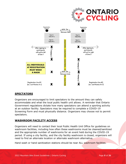

#### <span id="page-4-0"></span>**SPECTATORS**

Organizers are encouraged to limit spectators to the amount they can safely accommodate and what the local public health unit allows. A reminder that Ontario Government regulations dictate how many spectators can attend a sporting activity at an outdoor facility. Spectators may be required to complete a COVID-19 Screening Form and must physically distance. Organizers may choose not to permit spectators.

#### <span id="page-4-1"></span>**WASHROOM FACILITY ACCESS**

Organizers will need to contact their local Public Health Unit Office for guidelines on washroom facilities, including how often these washrooms must be cleaned/sanitized and the appropriate number of washrooms for an event held during the COVID-19 period. If using a city facility, and the city facility washroom is closed, organizers will need to find an alternate location or alternate washroom alternative.

Hand wash or hand sanitization stations should be near ALL washroom facilities.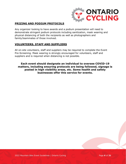

#### <span id="page-5-0"></span>**PRIZING AND PODIUM PROTOCOLS**

Any organizer looking to have awards and a podium presentation will need to demonstrate stringent podium protocols including sanitization, mask wearing and physical distancing of both the recipients as well as photographers and family/teammates of those involved.

#### <span id="page-5-1"></span>**VOLUNTEERS, STAFF AND SUPPLIERS**

All on-site volunteers, staff and suppliers may be required to complete the Event Pre-Screening. Mask wearing is strongly encouraged for volunteers, staff and suppliers and is required when distancing is not possible.

**Each event should designate an individual to oversee COVID-19 matters, including ensuring protocols are being followed, signage is posted in high visibility areas, etc. Some health and safety businesses offer this service for events.**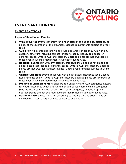

# <span id="page-6-0"></span>**EVENT SANCTIONING**

#### <span id="page-6-1"></span>**EVENT SANCTIONS**

#### **Types of Sanctioned Events**

- 1. **Weekly Series** events generally run under categories tied to age, distance, or ability at the discretion of the organizer. License requirements subject to event rules.
- 2. **Cycle For All** events also known as Tours and Gran Fondos may run with any category structure including but not limited to ability-based, age-based or distance-based. Ontario Cup and category upgrade points are not awarded at these events. License requirements subject to event rules.
- 3. **Regional Events** run with any category structure including but not limited to ability-based, age-based or distance-based. Ontario Cup and category upgrade points are not awarded at these events. License requirements subject to event rules.
- 4. **Ontario Cup Race** events must run with ability-based categories (see License Requirements below). Ontario Cup and category upgrade points are awarded at these events. License requirements subject to event rules.
- 5. **Provincial Championship** events are run under Ontario Cup categories except for youth categories which are run under age-based championship categories (see License Requirements below). For Youth categories, Ontario Cup and upgrade points are not awarded. License requirements subject to event rules.
- 6. **National Race** events must run according to Cycling Canada stipulations and sanctioning. License requirements subject to event rules.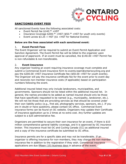

#### **SANCTIONED EVENT FEES**

All sanctioned Events have the following associated costs:

- Event Permit fee  $$140.^{00}$  +HST
- Insurance Coverage  $$200.^{00}$  +HST ( $$50.^{00}$  +HST for youth only events)
- Event Levies  $$3.25 + HST$  ( $$1 + HST$  for National Events)

#### **Below are the fees associated with each sanctioned event:**

#### 1. **Event Permit Fees**

The Event Organizer will be required to submit an Event Permit Application and Sanction Agreement. The Event Permit fee will be billed to the organizer upon approval of paperwork. If an event must be cancelled, the \$140.00 +HST Permit Fee is non-refundable & non-transferable.

#### 2. **Event Insurance**

Any organizer hosting an event requiring insurance coverage must complete and submit a Commercial Event Insurance form to events.team@ontariocycling.org and pay the \$200.00 +HST Insurance Certificate fee (\$50.00 +HST for youth events). The Organizer will pay the insurance certificate fee for the event prior to event day and reconcile non-member insurance costs (if applicable) based on participation numbers following the event.

Additional insured listed may only include landowners, municipalities, and governments. Sponsors should not be listed within the additional insured list. In general, the names provided to be added as named insured should only be those that have specifically requested to be named (e.g., municipality, landowner, etc.). We will not list those that are providing services as that should be covered under their own liability policy (e.g., first aid, photography services, sponsors, etc.). If you are in doubt or have questions, please contact OC office. Commercial Event insurance forms can be found on OC website. Organizers may update their Certificate of Insurance application up to 2 times at no extra cost. Any further updates are subject to a \$25 administrative fee.

Organizers are permitted to secure their own insurance for an event, if there is \$10 million comprehensive general liability coverage, and it is approved by OC insurance broker. This insurance must list OC and Cycling Canada (CC) as additional insured and a copy of the insurance certificate be submitted to OC office.

Insurance permits are for a specific date and may not be transferable. If an organizer is offering insurance for non-members, they may charge the non-member insurance fee in addition to the registration if they wish. Commercial insurance applications are due fifteen (15) business days in advance of the event.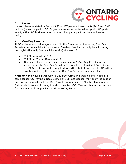

#### 3. **Levies**

Unless otherwise stated, a fee of \$3.25 + HST per event registrants (DNS and DNF included) must be paid to OC. Organizers are expected to follow up with OC postevent, within 3-5 business days, to report final participant numbers and levies owing.

#### 4. **One-Day Permits**

At OC's discretion, and in agreement with the Organizer on the terms, One-Day Permits may be available for your race. One-Day Permits may only be sold during pre-registration only (not available onsite) at a cost of:

- \$15.00 for Adults (19+)
- \$10.00 for Youth (18 and under)
- Riders are eligible to purchase a maximum of 3 One-Day Permits for the season. After the One-Day Permit limit is reached, a Provincial Race License or UCI Race License will be required to participate in future events. OC will be closely monitoring the number of One-Day Permits issued per rider.

**\*\*NEW\*\*** Individuals purchasing a One-Day Permit and then looking to obtain a same season OC Provincial Race License or UCI Race License, may apply the cost of one previously purchased One-Day Permit towards their OC Membership purchase. Individuals interested in doing this should contact OC office to obtain a coupon code for the amount of the previously paid One-Day Permit.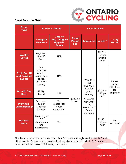

#### **Event Sanction Chart**

| <b>Event</b><br><b>Type</b>                           | <b>Sanction Details</b>                                                       |                                                                          | <b>Sanction Fees</b>                        |                  |                                                                   |                          |                                |                               |                    |
|-------------------------------------------------------|-------------------------------------------------------------------------------|--------------------------------------------------------------------------|---------------------------------------------|------------------|-------------------------------------------------------------------|--------------------------|--------------------------------|-------------------------------|--------------------|
|                                                       | <b>Category</b><br><b>Structure</b>                                           | <b>Ontario</b><br><b>Cup/Category</b><br><b>Upgrade</b><br><b>Points</b> | <b>Event</b><br><b>Permit</b><br><b>Fee</b> | <b>Insurance</b> | Levies*                                                           | $1-Day$<br><b>Permit</b> |                                |                               |                    |
| <b>Weekly</b><br><b>Series</b>                        | Beginner,<br>Sportif,<br>Open                                                 | N/A                                                                      |                                             |                  | $$3.25 +$<br>HST per<br>unique<br>rider                           |                          |                                |                               |                    |
| <b>Cycle For All</b><br>and Regional<br><b>Events</b> | Any<br>structure<br>(ability-<br>based, age-<br>based,<br>distance-<br>based) | N/A                                                                      | \$140.00<br>$+$ HST                         |                  | $$200.00 +$<br><b>HST</b><br>$(*50.00 +$<br>HST for               |                          | Please<br>contact<br>OC Office |                               |                    |
| <b>Ontario Cup</b><br><b>Race</b>                     | Ability-<br>based                                                             | Yes                                                                      |                                             |                  |                                                                   |                          | youth<br>events)               | $$3.25 +$<br>HST per<br>rider | for<br>Eligibility |
| <b>Provincial</b><br><b>Championship</b>              | Age-based<br>as per<br><b>National</b><br>Champs                              | Yes<br>(except for<br>Youth<br>categories)                               |                                             |                  | **Events<br>with One-<br>Day<br>Permits will<br>face a<br>premium |                          |                                |                               |                    |
| <b>National</b><br><b>Race</b>                        | According to<br>CC<br>stipulations<br>and<br>sanctioning                      | Yes                                                                      |                                             |                  | $$1.00 +$<br>HST per<br>rider                                     | <b>Not</b><br>permitted  |                                |                               |                    |

\*Levies are based on published start lists for races and registered entrants for all other events. Organizers to provide final registrant numbers within 3-5 business days and will be invoiced following the event.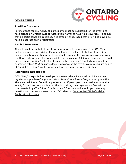#### <span id="page-10-0"></span>**OTHER ITEMS**



#### **Pre-Ride Insurance**

For insurance for pre-riding, all participants must be registered for the event and have signed an Ontario Cycling Association waiver to have valid coverage. To ensure that all participants are recorded, it is strongly encouraged that pre-riding days also have a separate online registration.

#### **Alcohol Insurance**

Alcohol is not permitted at events without prior written approval from OC. This includes samples and prizing. Events that wish to include alcohol must submit a Liquor Liability Application as well as submit a copy of the insurance coverage from the third-party organization responsible for the alcohol. Additional insurance fees will apply. Liquor Liability Application forms can be found on OC website and must be submitted fifteen (15) business days in advance of the event. We may require copies of Special Occasion Permits and/or evidence of smart serve certificates.

#### **Refundable Registration**

CCN Bikes/Interpodia has developed a system where individual participants can register and purchase "upgraded refund terms" as a form of registration protection. This small additional fee will help ensure that if participants are unable to attend an event, for various reasons listed at the link below, their registration fees will be compensated by CCN Bikes. This is not an OC service and should you have any questions or concerns please contact CCN directly. [Interpodia/CCN Refundable](https://interpodia.com/new-feature-refundable-registrations-enabled-to-improve-purchaser-confidence/)  [Registration Program](https://interpodia.com/new-feature-refundable-registrations-enabled-to-improve-purchaser-confidence/)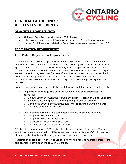

### <span id="page-11-0"></span>**GENERAL GUIDELINES: ALL LEVELS OF EVENTS**

#### <span id="page-11-1"></span>**ORGANIZER REQUIREMENTS**

- All Event Organizers must have a 2022 License
- It is recommended that all Organizers complete a Commissaire training course. For information related to Commissaire courses, please contact OC.

#### <span id="page-11-2"></span>**REGISTRATION REQUIREMENTS**

#### 1. **Online Registration Requirements**

CCN Bikes is OC's preferred provider of online registration services. All sanctioned events must use CCN bikes to administer their event registration, unless otherwise approved by OC office. It is the responsibility of the Organizer to setup the online registration, ensure all online waivers are attached and inform CCN that OC requires access to monitor registrations (in case of any license issues that can be resolved prior to the event). Events sanctioned by OC on CCN are linked on OC database so participant membership status is shown in reports, streamlining the registration process.

Prior to registration going live on CCN, the following guidelines must be adhered to:

- Registration cannot go live until the following has been submitted AND approved:
	- o Signed Organizer Contract Agreement (Prior to posting on Official Calendar)
	- o Signed Sanctioning Policy (Prior to posting on Official Calendar)
	- o Completed Event Permit Application (Prior to posting on Official Calendar)
	- o Payment of Event Permit fees
- The following items may be completed after the event has gone live
	- o Completed Technical Guide
	- o Completed Emergency Action Plan
	- o Certificate of Insurance Application
	- o Payment of Insurance Certificate fee

OC shall be given access to CCN registration to monitor licensing issues. If your event has received approval to utilize other registration software, OC will need to obtain registration lists with enough time to properly verify licenses.

Registration must close on the Wednesday prior to the race at midnight unless other arrangements have been made with OC office.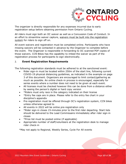

The organizer is directly responsible for any expenses incurred due to early registration setup before obtaining permission from Ontario Cycling.

All riders must sign both an OC waiver as well as a Concussion Code of Conduct. In an effort to streamline waiver capture, waivers must be built into the registration system for riders to sign off on.

All event waivers and registration must be completed online. Participants who have missing waivers will be contacted in advance by the Organizer to complete before the event. The Organizer is responsible in forwarding to OC scanned PDF copies of those waivers. CCN Bikes has the capability to imbed the waiver as part of the registration process for participants to sign electronically.

#### 2. **Event Registration Requirements**

The following registration standards must be adhered to at the sanctioned event:

- Rider sign-in must be located within 250m of the start line, following current COVID-19 physical distancing guidelines, as indicated in the example on page 3 of this document. Organizers are encouraged to limit contact/gathering as much as possible. An online check-in process is encouraged, especially for series events where a number does not need to be given at each event.
- All licenses must be checked however this can be done from a distance either by seeing the person's digital or hard copy version
- \*Riders must only race in the category indicated on their license
- \*Entry fee caps are in place. Please refer to the entry fee chart in your discipline's appendix
- Pre-registration must be offered through OC's registration system, CCN bikes unless otherwise agreed to
- All events in 2022 will be online pre-registration only
- \*Rider sign-in closes 15-minutes prior to the first rider departing. Start lists should be delivered to the Lead Commissaire immediately after rider sign-in closes
- \*Prize list must be posted online (if applicable)
- Appropriate number of staff/volunteers at the registration desk to manage rider check-in

\*May not apply to Regional, Weekly Series, Cycle For All events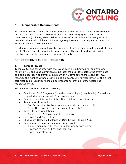

#### 3. **Membership Requirements**

For all 2022 Events, registration will be open to 2022 Provincial Race License holders or 2022 UCI Race License holders with a valid race category on their card. All memberships (including Provincial Race Licenses) now have a MTB category on it; however, there will still be a minimum age requirement to participate in the OCups and/or Provincial Championships.

In addition, organizers may have the option to offer One-Day Permits as part of their event. Please contact the office for more details. This must be done via online registration only. An insurance premium will apply.

#### <span id="page-13-0"></span>**SPORT TECHNICAL REQUIREMENTS**

#### 1. **Technical Guide**

Technical Guides associated with the event must be submitted for approval and review by OC and Lead Commissaire, no later than 60 days before the event date and published upon approval, a minimum of 45 days before the event day. OC reserves the right to withhold sanctioning an event, until further review of the event technical guide. Organizers should be prepared to provide further details as requested by OC.

Technical Guide to include the following:

- Sanctioned By OC logo and/or series-related logo (if applicable). Should also be posted on event website/registration page
- Category race information (start time, distance, licensing chart)
- Registration Information
	- o Pre-Registration (website, opening and closing dates, cost)
	- o Event Day (sign-in location, closing times, etc.)
- Race rules and regulations
	- o Course rules (bib placement, pre-riding)
- Licensing Chart (see below)
- NEW Youth Category Explanation (See below, OCups 1-5 &7)
- Course map to scale including a course profile
	- o Course maps must be easy to understand for pre-riding
	- o Direction to race and parking location
	- o Start/Finish close-up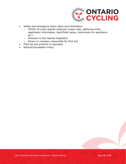

- Safety and emergency action plans and information
	- o COVID-19 event specific protocols (mask rules, gathering limits, registration information, start/finish setup, instructions for spectators, etc.)
	- o Direction to the nearest hospital(s)
	- o Person or company responsible for First Aid
- Prize list and protocol (if applicable)
- Refund/Cancellation Policy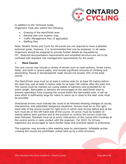

In addition to the Technical Guide, Organizers must also submit the following:

- Drawing of the start/finish area
- Marshal plan and location map
- Traffic Management Plan (if applicable)
- Staffing Plan

Note: Weekly Series and Cycle For All events are not required to have a detailed technical guide; however, it is recommended that one be prepared. In all cases, Organizers should be prepared to provide further details as requested by OC. Reduced documentation requirements and simplified structure are not to be confused with standard risk management requirements for the event

#### 2. **Race Course**

The race course may include a variety of terrain such as road sections, forest tracks, fields, and earth or gravel paths, and include significant amounts of climbing and descending. Paved or tarred/asphalt roads should not exceed 15% of the total course.

The Start/Finish area must be at least 6 metres wide for at least 50 metres before the start line, and at least 6 metres wide for at least 100 metres after the start line. The course must be marked out (using stakes or banners) and protected for its entire length. Barricades or banners are encouraged at the start/finish area to prevent spectators from crossing the course within the barricaded area. A call-up area which is sufficiently large for riders to warm up in close to the start zone must be provided.

Directional arrows must indicate the route to be followed showing changes of course, intersections, and potentially dangerous situations. Arrows must be on the righthand side of the course except for right turns in which case arrows before and at the turn must be on the left-hand side of the course. An arrow must be located 10 metres before each junction and at the junction to confirm the correct route has been followed. Marshals must be at every intersection of the course with marshals at the control points in radio contact with the organizer. For 2022, for OCups, organizers are encouraged to have shorter loops that prioritize speed vs endurance.

The organizer may provide a bike washing area for participants. Inflatable arches crossing the course are prohibited, unless held up by a solid structure.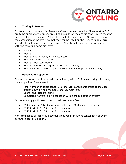

#### 3. **Timing & Results**

All events (does not apply to Regional, Weekly Series, Cycle For All events) in 2022 are to be appropriately timed, providing a result for each participant. Timers must be approved by OC in advance. All results should be forwarded to OC within 24 hours of the completion of the event so that they can be listed on the Results page of OC website. Results must be in either Excel, PDF or html format, sorted by category, with the following items displayed:

- Placing
- Rider's #
- Rider's Ontario Ability or Age Category
- Rider's First and Last Name
- Rider's Club/Team Name
- Rider's Time/Result (Lap times also encouraged)
- Rider's Earned Ontario Cup Points/Upgrade Points (OCup events only)

#### 4. **Post-Event Reporting**

Organizers are required to provide the following within 3-5 business days, following the completion of each event:

- Total number of participants (DNS and DNF participants must be included), broken down by non-members and OC members.
- Sport Injury Report Forms
- Completed waivers (online collection within the registration system)

Failure to comply will result in additional mandatory fees:

- \$50 if past the 5 business days, and before 30 days after the event.
- \$100 if within 31-60 days after the event.
- \$150 if within 61-90 days after the event.

Non-compliance or lack of full payment may result in future cancellation of event permits, fines, or discipline.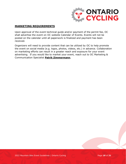

#### <span id="page-17-0"></span>**MARKETING REQUIREMENTS**

Upon approval of the event technical guide and/or payment of the permit fee, OC shall advertise the event on OC website Calendar of Events. Events will not be posted on the calendar until all paperwork is finalized and payment has been received.

Organizers will need to provide content that can be utilized by OC to help promote the event on social media (e.g. logos, photos, videos, etc.) in advance. Collaboration on marketing efforts can result in a greater reach and exposure for your event advertising. If you would like to market your event, reach out to OC Marketing & Communication Specialist **[Patrik Zimmermann.](mailto:patrik.zimmermann@ontariocycling.org)**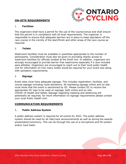

#### <span id="page-18-0"></span>**ON-SITE REQUIREMENTS**

#### 1. **Facilities**

The organizers shall have a permit for the use of the course/venue and shall ensure that the permit is in compliance with all local requirements. The organizer is responsible to ensure that adequate barriers are in place to keep spectators off the race course in the vicinity of the start/finish and other areas of the race course as required.

#### 2. **Toilets**

Washroom facilities must be available in quantities appropriate to the number of participants. Consideration must also be given to providing nearby access to washroom facilities for officials located at the finish line. In addition, organizers are strongly encouraged to provide barrier-free washrooms especially if a race included para-athletes. Organizers are encouraged to reach out to their local public health unit for information on how many toilets would be required for your event size along with sanitation requirements.

#### 3. **Signage**

Event sites must have adequate signage. This includes registration, facilities, and course signage including route deviations. All marketing signage online and on-site must show that the event is sanctioned by OC. Please contact OC to receive the appropriate OC logo to be used on signage, both online and on-site. COVID-19 Health and Safety Signage regarding masking and distancing will potentially be required, for more information on signage requirements please contact your local Public Health Unit.

#### <span id="page-18-1"></span>**COMMUNICATION REQUIREMENTS**

#### 1. **Public Address System**

A public address system is required for all events for 2022. The public address system should be used for all rider/race announcements as well as during the awards presentation/ceremony. This can be through the use of a microphone and PA system and/or loud hailer.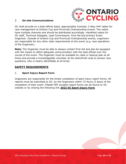

#### 2. **On-site Communications**

OC shall provide on a best-efforts basis, appropriately licensed, 2-Way VHF radios for race management at Ontario Cup and Provincial Championship events. The radios have multiple channels and should be distributed accordingly. Handheld radios for OC staff, Technical Delegate, Lead Commissaire, First Aid and primary Event Organizer. Outside of Ontario Cup and Provincial Championship events, organizers are responsible for any other radio requirements at the event (e.g. race operations of the Organizer).

**Note:** The Organizer must be able to always contact First Aid and also be equipped with the means to effect adequate communication with the lead official over the course of the event. The Organizer must be available by radio or backup plan at all times and provide a knowledgeable volunteer at the start/finish area to answer race questions, who is clearly identifiable at all times.

#### <span id="page-19-0"></span>**SAFETY REQUIREMENTS**

#### 1. **Sport Injury Report Form**

Organizers are responsible for the timely completion of sport injury report forms. All reports must be submitted to OC, by the Organizers within 72 hours (3 days) of the completion of their event. Fillable PDF accident report forms can be found on OC website or by clicking the following link **2022 OC [Sport Injury Form](https://ontariocycling.org/forms/2022-sport-injury-report-form/)**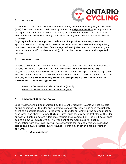

#### 2. **First Aid**

In addition to first aid coverage outlined in a fully completed Emergency Action Plan (EAP) form, an onsite first aid person provided by **[Odyssey Medical](https://odysseymedical.ca/)** or approved by OC equivalent must be provided. The designated First Aid person must be readily identifiable and consider spacing themselves throughout the race course for better coverage.

Odyssey Medical is the approved medical service provider however, if another approved service is being used, there must be an event representative (Organizer/ volunteer) to note all incidents/accidents/crashes/injuries, etc. At a minimum, we require the name (if possible to attain), bib number, wave of race, and suspected injuries.

#### 3. **Rowan's Law**

Ontario's new Rowan's Law is in effect at all OC sanctioned events in the Province of Ontario. For more information visit **OC [Rowans Law Concussion Safety](https://www.ontario.ca/page/rowans-law-concussion-safety).** Organizers should be aware of all requirements under the legislation including having athletes under 26 agree to a concussion code of conduct as part of registration. *It is the Organizer's responsibility to ensure completion of this waiver by all participants under the age of 26.*

- Example Concussion [Code of Conduct \(Word\)](https://files.ontario.ca/mtcs-templates-athlete-code-of-conduct-aoda-2019-06-25.docx)
- [Example Concussion Code of Conduct \(PDF\)](https://files.ontario.ca/mhstci-rowans-law-codes-of-conduct-20191120-athletes-en.pdf)

#### 4. **Inclement Weather Policy**

Local weather should be monitored by the Event Organizer. Events will not be held during conditions of thunder and lightning, excessively high winds or in the unlikely event of a possible tornado. In the event of thunder or lightning, the course must be evacuated, and shelter found. Thirty minutes must pass from the last clap of thunder or flash of lightning before riders may resume their competition. The next occurrence begins a new 30-minute cycle. The President of the Commissaire Panel in consultation with the Organizer will be responsible for making decisions regarding stoppage/delay/evacuation due to thunder, lightning, or other extreme weather patterns.

• **OC [Lightning Policy](http://www.ontariocycling.org/forms/lightning-policy/)**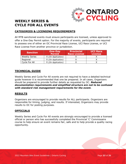

## <span id="page-21-0"></span>**WEEKLY SERIES & CYCLE FOR ALL EVENTS**

#### <span id="page-21-1"></span>**CATEGORIES & LICENSING REQUIREMENTS**

All MTB sanctioned events must ensure participants are licensed, unless approved to offer a One-Day Permit option. For the majority of events, participants are required to possess one of either an OC Provincial Race License, UCI Race License, or UCI Race License from another province or jurisdiction.

| <b>Sanction</b>      | <b>One-Day</b><br><b>Permit</b> | <b>Provincial</b><br><b>Race License</b> | <b>UCI Race</b><br><b>License</b> |
|----------------------|---------------------------------|------------------------------------------|-----------------------------------|
| <b>Weekly Series</b> | X (On Application)              |                                          |                                   |
| Regional             | X (On Application)              |                                          |                                   |
| Cycle For All        | X (On Application)              |                                          |                                   |

#### <span id="page-21-2"></span>**TECHNICAL GUIDE**

Weekly Series and Cycle For All events are not required to have a detailed technical guide however it is recommended that one be prepared. In all cases, Organizers should be prepared to provide further details as requested by OC. *Reduced documentation requirements and simplified structure are not to be confused with standard risk management requirements for the event.*

#### <span id="page-21-3"></span>**RESULTS**

Organizers are encouraged to provide results for ALL participants. Organizers are responsible for timing, judging, and results. If interested, Organizers may provide results to OC for posting purposes.

#### <span id="page-21-4"></span>**OFFICIALS**

Weekly Series and Cycle For All events are strongly encouraged to provide a licensed official or person who has successfully completed the Provincial 'C' Commissaire course to help ensure an event remains fair, safe and to help provide a quality racing opportunity.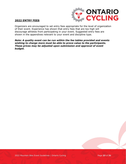

#### <span id="page-22-0"></span>**2022 ENTRY FEES**

Organizers are encouraged to set entry fees appropriate for the level of organization of their event. Experience has shown that entry fees that are too high will discourage athletes from participating in your event. Suggested entry fees are shown in the appendixes relevant to your event and discipline type.

*Note: A quality event can be run within the fee tables provided and events wishing to charge more must be able to prove value to the participants. These prices may be adjusted upon submission and approval of event budget.*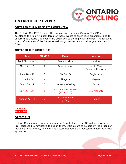

# <span id="page-23-0"></span>**ONTARIO CUP EVENTS**

#### <span id="page-23-1"></span>**ONTARIO CUP MTB SERIES OVERVIEW**

The Ontario Cup MTB Series is the premier race series in Ontario. The OC has developed the following standards for these events to assist race organizers, and to ensure that Ontario Cup events are organized to the highest standards. The following is a brief overview of the Series as well as guidelines in which all organizers must follow.

#### <span id="page-23-2"></span>**ONTARIO CUP SCHEDULE**

| <b>Date</b>      | OCUP#          | <b>Event</b>                      | <b>Location</b>                         |
|------------------|----------------|-----------------------------------|-----------------------------------------|
| April 30 - May 1 | $\mathbf{1}$   | Woodnewton                        | Uxbridge                                |
| May $14 - 15$    | $\overline{2}$ | Peterborough                      | <b>Harold Town</b><br>Conservation Area |
| June 18 - 19     | 3              | Sir Sam's                         | Eagle Lake                              |
| July $1 - 3$     | 4              | Niagara                           | Niagara                                 |
| July $16 - 17$   | 5              | Horseshoe Valley                  | <b>Barrie</b>                           |
| July $22 - 24$   | 6              | Hardwood Ski & Bike<br>(XCO, XCC) | Oro-Medonte                             |
| August 27 - 28   | 7              | Mountainview<br>(XCO)             | Midland                                 |

**Nationals Provincials** 

#### <span id="page-23-3"></span>**OFFICIALS**

Ontario Cup events require a minimum of 3 to 4 officials and OC will work with the Provincial Lead Commissaire to assign them. Officials are to be paid by the organizer including honorariums, mileage, and accommodations as requested, unless otherwise agreed to.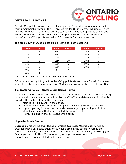

#### <span id="page-24-0"></span>**ONTARIO CUP POINTS**

Ontario Cup points are awarded to all categories. Only riders who purchase their racing membership through the OC are eligible for OCup points. DNF riders (riders who do not finish) are not entitled to OCup points. Ontario Cup series champions will be decided by season ending Ontario Cup MTB series point totals by a simple tally of all the OCup points earned at OCup events for the current year.

The breakdown of OCup points are as follows for each category:

| Place           | <b>Points</b> | Place | Poir           |
|-----------------|---------------|-------|----------------|
| 1st             | 25            | 8th   | 13             |
| 2 <sub>nd</sub> | 22            | 9th   | 12             |
| 3rd             | 20            | 10th  | 11             |
| 4th             | 18            | 11th  | 1(             |
| 5th             | 17            | 12th  | 9              |
| 6th             | 16            | 13th  | 8              |
| 7th             | 15            | 14th  | $\overline{7}$ |
| 8th             | 14            |       |                |

| Place | <b>Points</b> | Place | Points | Place | Points |
|-------|---------------|-------|--------|-------|--------|
| 1st   | 25            | 8th   | 13     | 15th  | 6      |
| 2nd   | 22            | 9th   | 12     | 16th  | 5      |
| 3rd   | 20            | 10th  | 11     | 17th  |        |
| 4th   | 18            | 11th  | 10     | 18th  | 3      |
| 5th   | 17            | 12th  | 9      | 19th  | 2      |
| 6th   | 16            | 13th  | 8      | 20th  |        |
| 7th   | 15            | 14th  |        |       |        |
|       |               |       |        |       |        |

| Place | Points |
|-------|--------|
| 15th  | 6      |
| 16th  | 5      |
| 17th  | 4      |
| 18th  | 3      |
| 19th  | 2      |
| 20th  | 1      |

Note: OCup points are different than upgrade points.

OC reserves the right to grant double OCup points status to any Ontario Cup event, subject to it being announced at least 30 days in advance of the event in question.

#### **Tie Breaking Policy – Ontario Cup Series Points**

When two or more riders are tied at the end of the Ontario Cup series, the following criteria and procedure shall be utilized by the OC office to determine which rider is awarded the higher place in the standings.

- Most race wins overall in the series.
- Overall Points Average (number of points divided by events attended).
- Highest placing in commonly attended events (who placed higher in the standings when both riders attended the same events).
- Highest placing in the last event of the series.

#### **Upgrade Points System**

Upgrade points will be awarded at all Ontario Cup races.Upgrade points will be awarded based on a calculation of the rider's time in the category versus the "predicted" winning time. For a more comprehensive understanding of MTB Upgrade Points, please visit <https://ontariocycling.org/sports/cross-country/> Upgrade points are calculated by the series timer.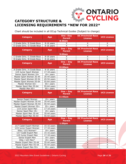

# <span id="page-25-0"></span>**CATEGORY STRUCTURE & LICENSING REQUIREMENTS \*NEW FOR 2022\***

Chart should be included in all OCup Technical Guides (Subject to change)

| <b>Category</b>                                  | <b>Age</b>               | One-Day<br><b>Permit</b>     | <b>OC Provincial Race</b><br><b>License</b> | <b>UCI License</b>            |  |  |  |  |
|--------------------------------------------------|--------------------------|------------------------------|---------------------------------------------|-------------------------------|--|--|--|--|
| <b>8:30am</b>                                    |                          |                              |                                             |                               |  |  |  |  |
| E Grade Girls / E Grade Boys                     | 8-16 years               | X                            | Χ                                           |                               |  |  |  |  |
| D Grade Girls / D Grade Boys                     | 8-16 years               | $\times$                     | X                                           | $\frac{x}{x}$                 |  |  |  |  |
| <b>Category</b>                                  | <b>Age</b>               | One $-$ Day<br><b>Permit</b> | <b>OC Provincial Race</b><br><b>License</b> | <b>UCI License</b>            |  |  |  |  |
| <b>9:00am</b>                                    |                          |                              |                                             |                               |  |  |  |  |
| C Grade Girls / C Grade Boys                     | 8-16 years               | X                            | X                                           | X                             |  |  |  |  |
| B Grade Girls / B Grade Boys                     | 8-16 years               | $\overline{X}$               | X                                           | $\overline{\mathsf{x}}$       |  |  |  |  |
| <b>Category</b>                                  | Age                      | One $-$ Day<br><b>Permit</b> | <b>OC Provincial Race</b><br><b>License</b> | <b>UCI License</b>            |  |  |  |  |
|                                                  |                          | 10:00am                      |                                             |                               |  |  |  |  |
| A Grade Girls / A Grade Boys                     | 8-16 years               | X                            | Χ                                           | X                             |  |  |  |  |
| U19 Junior Sport Women                           | $17-18$ years            | $\overline{\mathsf{x}}$      | $\overline{\mathsf{x}}$                     | $\overline{\mathsf{x}}$       |  |  |  |  |
| Senior Sport Women 19+                           | $19+$ years              | X                            | $\sf X$                                     | $\sf X$                       |  |  |  |  |
| Master Sport Women 35-44                         | 35-44 years              | X                            | $\overline{X}$                              | X                             |  |  |  |  |
| Master Sport Women 45-54                         | 45-54 years              | X                            | X                                           | $\mathsf X$                   |  |  |  |  |
| Master Sport Women 55-64                         | 55-64 years              | X                            | $\mathsf{X}$                                | $\mathsf{X}$                  |  |  |  |  |
| Master Women 65+                                 | $65+$ years              | X                            | $\mathsf{X}$                                | $\pmb{\mathsf{X}}$            |  |  |  |  |
| Master Sport Men 55-64                           | 55-64 years              | $\overline{\mathsf{x}}$      | $\overline{\mathsf{x}}$                     | $\overline{\mathsf{x}}$       |  |  |  |  |
| Master Men 65+                                   | $65+$ years              | $\overline{\mathsf{x}}$      | $\overline{\mathsf{x}}$                     | $\overline{\mathsf{x}}$       |  |  |  |  |
| <b>Category</b>                                  | <b>Age</b>               | One $-$ Day<br><b>Permit</b> | <b>OC Provincial Race</b><br><b>License</b> | <b>UCI License</b>            |  |  |  |  |
|                                                  |                          | 11:45am                      |                                             |                               |  |  |  |  |
| Senior Expert Women                              | $19+$ years              |                              | Χ                                           | X                             |  |  |  |  |
| Master Expert Women 35-44                        | 35-44 years              |                              | $\mathsf{X}$                                | $\sf X$                       |  |  |  |  |
| Master Expert Women 45-54                        | 45-54 years              |                              | $\pmb{\mathsf{X}}$                          |                               |  |  |  |  |
|                                                  |                          |                              |                                             | Χ                             |  |  |  |  |
| Master Expert Women 55+                          | $55+$ years              |                              | $\mathsf{X}$                                | $\sf X$                       |  |  |  |  |
| U19 Junior Sport Men                             | $17-18$ years            | X                            | $\mathsf{X}$                                | $\sf X$                       |  |  |  |  |
| Senior Sport Men 19+                             | $19+$ years              | $\overline{\mathsf{x}}$      | $\overline{\mathsf{x}}$                     | $\overline{\mathsf{x}}$       |  |  |  |  |
| Master Sport Men 35-44                           | 35-44 years              | $\overline{\mathsf{x}}$      | $\overline{X}$                              | $\overline{\mathsf{X}}$       |  |  |  |  |
| Master Sport Men 45-54                           | 45-54 years              | $\overline{\mathsf{x}}$      | X                                           | $\overline{\mathsf{x}}$       |  |  |  |  |
| <b>Category</b>                                  | <b>Age</b>               | One $-$ Day<br><b>Permit</b> | <b>OC Provincial Race</b><br><b>License</b> | <b>UCI License</b>            |  |  |  |  |
|                                                  |                          | 1:30pm                       |                                             |                               |  |  |  |  |
| U17 Cadet Expert Women                           | $15-16$ years            |                              | X                                           | X                             |  |  |  |  |
| U19 Junior Expert Women                          | $17-18$ years            |                              | X                                           | X                             |  |  |  |  |
| Elite / U23 Women*                               | $19+$ years              |                              | $\overline{\mathsf{X}}$                     | $\overline{X}$                |  |  |  |  |
| U17 Cadet Expert Men                             | $15-16$ years            |                              | $\overline{\mathsf{X}}$                     | $\overline{\mathsf{X}}$       |  |  |  |  |
| U19 Junior Expert Men                            | $17-18$ years            |                              | $\overline{X}$                              | $\overline{X}$                |  |  |  |  |
| Senior Expert Men                                | $19+$ years              |                              | $\mathsf X$                                 | $\pmb{\mathsf{X}}$            |  |  |  |  |
| Elite / U23 Men*                                 | $19+$ years              |                              | $\mathsf{X}% _{0}$                          | $\mathsf X$                   |  |  |  |  |
| Master Expert Men 35-44                          | 35-44 years              |                              | $\boldsymbol{\mathsf{X}}$                   | X                             |  |  |  |  |
| Master Expert Men 45-54<br>Master Expert Men 55+ | 45-54 years<br>55+ years |                              | $\overline{X}$<br>$\mathsf X$               | $\overline{X}$<br>$\mathsf X$ |  |  |  |  |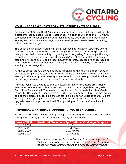

#### <span id="page-26-0"></span>**YOUTH (AGES 8-16) CATEGORY STRUCTURE \*NEW FOR 2022\***

Beginning in 2022, youth (8-16 years of age, not including U17 Expert) will now be slotted into ability based "Grade" categories. This change will bring the MTB youth categories into closer alignment with those in Road, Cyclo-cross and Track racing events, and will provide a stronger athlete development system based on ability, rather than simply age.

The youth ability-based system will be a "self-seeding" category structure where coaches/parents are expected to enter the youth athlete in the most appropriate category for their current ability. Upgrading or downgrading from one youth category to another will be at the discretion of the coach/parent of the athlete. Category standings will continue to be tracked, however parents/coaches are encouraged to focus more on the youth member's development within the sport, rather than winning series recognition.

As the youth categories are self-seeded, the chart on the following page has been created to simply act as a suggestion chart. Some early season growing pains with seeding in the appropriate category are expected, but ultimately, this shift will result in a stronger development race series for youth participants.

Athletes looking to upgrade to the U17 Expert category for Ontario provinciallysanctioned events must submit a request to the OC Youth Upgrade/Downgrade Committee for approval. The minimum requirement for requests include A Grade results for Boys and B Grade results for Girls. The Committee will review the request and at their discretion, decide if the athlete is eligible for an upgrade to U17 Expert. For any athlete younger than 15 years of age (as of December 31, 2022), this upgrade does not apply for National Championship or Provincial Championship events.

#### **PROVINCIAL & NATIONAL CHAMPIONSHIP YOUTH CATEGORIES**

For the Ontario Provincial XC Championships, youth categories will reflect the proper racing age category (as of December 31, 2022) of the individual.

| <b>Year of Birth</b> | <b>Provincial Championship / National Challenge Category</b>                                                                                                                                      |
|----------------------|---------------------------------------------------------------------------------------------------------------------------------------------------------------------------------------------------|
| 2012-2014            | U11/Squirt                                                                                                                                                                                        |
| 2010-2011            | U13/Peewee                                                                                                                                                                                        |
| 2008-2009            | U15/Minime                                                                                                                                                                                        |
| 2006-2007            | U17/Cadet                                                                                                                                                                                         |
|                      | Note: If you are racing in the A Grade but have not upgraded to<br>U17 Expert, you will be expected to race the U17 Sport category<br>at the Provincial Championships and National Championships. |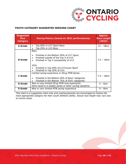

#### **YOUTH CATEGORY SUGGESTED SEEDING CHART**

| <b>Suggested</b><br><b>New</b><br><b>Category</b> | <b>Racing History (based on 2021 performances)</b>                                                                                                                                                                        | Approx.<br><b>Race Length</b><br>(2022) |
|---------------------------------------------------|---------------------------------------------------------------------------------------------------------------------------------------------------------------------------------------------------------------------------|-----------------------------------------|
| A Grade                                           | Top 50% in U17 Sport Boys<br>Top 25% in U15 Boys                                                                                                                                                                          | $13 - 18$ km                            |
| <b>B</b> Grade                                    | <b>Boys</b><br>Finished in the Bottom 50% of U17 Sport<br>Finished outside of the Top 5 of U15<br>Finished in Top 3 consistently of U13<br>Girls<br>Finished in Top 50% of U17/Junior Sport<br>Finished in Top 25% of U15 | $7.5 - 10$ km                           |
| <b>C</b> Grade                                    | Limited racing experience in OCup MTB Series<br>Finished in the Bottom 50% of Boys' categories<br>Finished in the Bottom 75% of Girls' categories                                                                         | $7.5 - 10$ km                           |
| <b>D</b> Grade                                    | New or very limited OCup MTB race experience<br>Have raced in a weekly series or other cycling discipline                                                                                                                 | $4 - 6km$                               |
| <b>E</b> Grade                                    | New or very limited MTB racing experience                                                                                                                                                                                 | $4 - 6km$                               |

*This chart is a suggestion chart only and coaches/parents are encouraged to choose the most appropriate category for their youth athlete's ability. Actual race length may vary due to course setup.*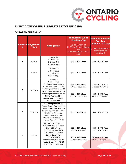

#### <span id="page-28-0"></span>**EVENT CATEGORIES & REGISTRATION FEE CAPS**

#### **ONTARIO CUPS #1-5**

| # | <b>Session Suggested</b><br><b>Time</b> | <b>Categories</b>                                                                                                                                                                                                                              | <b>Individual Event</b><br><b>Pre-Reg Cap</b><br>Up to Sunday at<br>11:59pm 2 weeks before<br>race<br>(Approximately 14 days<br>out) | <b>Individual Event</b><br><b>Pre-Reg</b><br><b>LATE ENTRY Cap</b><br>(Cut-off Wednesday<br>before race at<br>11:59pm) |
|---|-----------------------------------------|------------------------------------------------------------------------------------------------------------------------------------------------------------------------------------------------------------------------------------------------|--------------------------------------------------------------------------------------------------------------------------------------|------------------------------------------------------------------------------------------------------------------------|
| 1 | 8:30am                                  | E Grade Girls<br>E Grade Boys<br>D Grade Girls<br>D Grade Boys                                                                                                                                                                                 | \$33 + HST & Fees                                                                                                                    | \$43 + HST & Fees                                                                                                      |
| 2 | 9:00am                                  | C Grade Girls<br>C Grade Boys<br><b>B Grade Girls</b><br><b>B</b> Grade Boys                                                                                                                                                                   | $$40 + HST & Fees$$                                                                                                                  | \$50 + HST & Fees                                                                                                      |
| 3 | 10:00am                                 | A Grade Girls<br>A Grade Boys<br>U19 Junior Sport Women<br>Senior Sport Women 19+<br>Master Sport Women 35-44<br>Master Sport Women 45-54<br>Master Sport Women 55-64<br>Master Women 65+<br>Master Sport Men 55-64<br>Master Men 65+          | \$47 + HST & Fees<br>A Grade Boys/Girls<br>$$53 + HST & Fees$<br>All other categories                                                | \$57 + HST & Fees<br>A Grade Boys/Girls<br>$$63 + HST & Fees$$<br>All other categories                                 |
| 4 | 11:45am                                 | Senior Expert Women<br>Master Expert Women 35-44<br>Master Expert Women 45-54<br>Master Expert Women 55+<br>U19 Junior Sport Men<br>Senior Sport Men 19+<br>Master Sport Men 35-44<br>Master Sport Men 45-54                                   | \$55 + HST & Fees                                                                                                                    | \$65 + HST & Fees                                                                                                      |
| 5 | 1:30pm                                  | U17 Cadet Expert Women<br>U19 Junior Expert Women<br>Elite / U23 Women<br>U17 Cadet Expert Men<br>U19 Junior Expert Men<br>Senior Expert Men<br>Elite / U23 Men<br>Master Expert Men 35-44<br>Master Expert Men 45-54<br>Master Expert Men 55+ | \$55 + HST & Fees<br>U17 Cadet Expert<br>$$63 + HST & Fees$$<br>All other categories                                                 | \$65 + HST & Fees<br>U17 Cadet Expert<br>$$73 + HST & Fees$$<br>All other categories                                   |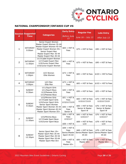

#### **NATIONAL CHAMPIONSHIP/ONTARIO CUP #6**

|                | <b>Session Suggested</b>              |                                                                                                                                                                                     | <b>Early Entry</b>                                    | <b>Regular Fee</b>                                      | <b>Late Entry</b>                                     |
|----------------|---------------------------------------|-------------------------------------------------------------------------------------------------------------------------------------------------------------------------------------|-------------------------------------------------------|---------------------------------------------------------|-------------------------------------------------------|
| #              | <b>Time</b>                           | <b>Categories</b>                                                                                                                                                                   | <b>Before June</b><br>15                              | June $16$ - July 13                                     | After July 13                                         |
| $\mathbf{1}$   | <b>SATURDAY</b><br>9:00am             | Senior Expert Women<br>Master Expert Women 35-44<br>Master Expert Women 45-54<br>Master Expert Women 55+<br>Senior Expert Men<br>Master Expert Men 35-44<br>Master Expert Men 45-54 | $$65 + HST &$<br>Fees                                 | \$75 + HST & Fees                                       | \$90 + HST & Fees                                     |
| $\overline{2}$ | <b>SATURDAY</b><br>11:00am            | U17/Cadet Expert Women<br>U17/Cadet Expert Men<br>U19/Junior Expert Men<br>U19/Junior Expert Women                                                                                  | \$65 + HST &<br>Fees                                  | \$75 + HST & Fees                                       | \$90 + HST & Fees                                     |
| 3              | <b>SATURDAY</b><br>1:00 <sub>pm</sub> | U23 Women<br>Elite Women                                                                                                                                                            | $$73 + HST &$<br>Fees                                 | \$83 + HST & Fees                                       | $$103 + HST & Fees$$                                  |
| 4              | <b>SATURDAY</b><br>3:00 <sub>pm</sub> | U23 Men<br>Elite Men                                                                                                                                                                | $$73 + HST &$<br>Fees                                 | $$83 + HST & Fees$$                                     | $$103 + HST & Fees$$                                  |
| 5              | <b>SUNDAY</b><br>8:30am               | U11/Squirt Girls<br>U11/Squirt Boys<br>U13/Peewee Girls<br>U13/Peewee Boys                                                                                                          | $$40 + HST &$<br>Fees                                 | \$50 + HST & Fees                                       | \$55 + HST & Fees                                     |
| 6              | <b>SUNDAY</b><br>9:30am               | U15/Minime Girls<br>U17/Cadet Sport Girls<br>U19/Junior Sport Girls<br>Senior Sport Women                                                                                           | $$51 + HST &$<br>Fees<br>U15/U17/U19                  | \$60 + HST & Fees<br>U15/U17/U19<br>\$66 + HST & Fees   | \$70 + HST & Fees<br>U15/U17/U19<br>\$76 + HST & Fees |
|                |                                       | Master Sport Women 35-44<br>Master Sport Women 45-54<br>Master Sport Women 55+                                                                                                      | \$56 + HST &<br>Fees<br>Senior &                      | Senior & Master<br>Sport W                              | Senior & Master<br>Sport W                            |
| 7              | <b>SUNDAY</b><br>11:00am              | U15/Minime Boys<br>U17/Cadet Sport Boys                                                                                                                                             | $$56 + HST &$<br>Fees<br>U15/U17                      | \$66 + HST & Fees<br>U15/U17                            | \$76 + HST & Fees<br>U15/U17                          |
|                |                                       | U19/Junior Sport Boys                                                                                                                                                               | \$58 + HST &                                          | \$68 + HST & Fees<br>U19                                | \$78 + HST & Fees<br>U19                              |
| 8              | <b>SUNDAY</b><br>12:30pm              | Senior Sport Men 19+<br>Master Sport Men 35-44<br>Master Sport Men 45-54                                                                                                            | $$58 + HST &$<br>Fees<br>Senior/Master<br>Sport 35-64 | $$68 + HST & Fees$$<br>Senior/Master Sport<br>$35 - 64$ | \$78 + HST & Fees<br>Senior/Master Sport<br>$35 - 64$ |
|                |                                       | Master Sport Men 55-64<br>Master Sport Men 65+                                                                                                                                      | $$56 + HST &$<br>Fees<br>Master 65+                   | \$66 + HST & Fees<br>Master 65+                         | $$76 + HST & Fees$$<br>Master 65+                     |